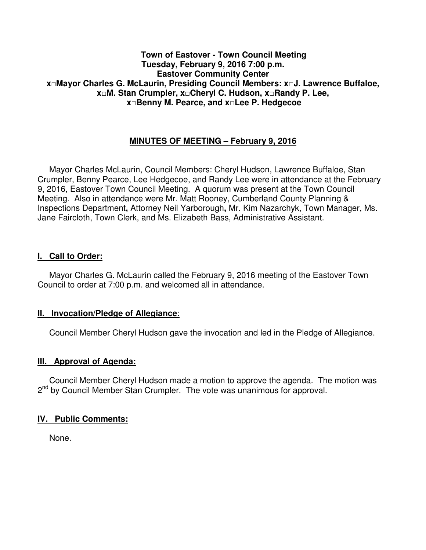### **Town of Eastover - Town Council Meeting Tuesday, February 9, 2016 7:00 p.m. Eastover Community Center x□Mayor Charles G. McLaurin, Presiding Council Members: x□J. Lawrence Buffaloe, x□M. Stan Crumpler, x□Cheryl C. Hudson, x□Randy P. Lee, x□Benny M. Pearce, and x□Lee P. Hedgecoe**

# **MINUTES OF MEETING – February 9, 2016**

 Mayor Charles McLaurin, Council Members: Cheryl Hudson, Lawrence Buffaloe, Stan Crumpler, Benny Pearce, Lee Hedgecoe, and Randy Lee were in attendance at the February 9, 2016, Eastover Town Council Meeting. A quorum was present at the Town Council Meeting. Also in attendance were Mr. Matt Rooney, Cumberland County Planning & Inspections Department**,** Attorney Neil Yarborough**,** Mr. Kim Nazarchyk, Town Manager, Ms. Jane Faircloth, Town Clerk, and Ms. Elizabeth Bass, Administrative Assistant.

### **I. Call to Order:**

 Mayor Charles G. McLaurin called the February 9, 2016 meeting of the Eastover Town Council to order at 7:00 p.m. and welcomed all in attendance.

### **II. Invocation/Pledge of Allegiance**:

Council Member Cheryl Hudson gave the invocation and led in the Pledge of Allegiance.

### **III. Approval of Agenda:**

 Council Member Cheryl Hudson made a motion to approve the agenda. The motion was 2<sup>nd</sup> by Council Member Stan Crumpler. The vote was unanimous for approval.

### **IV. Public Comments:**

None.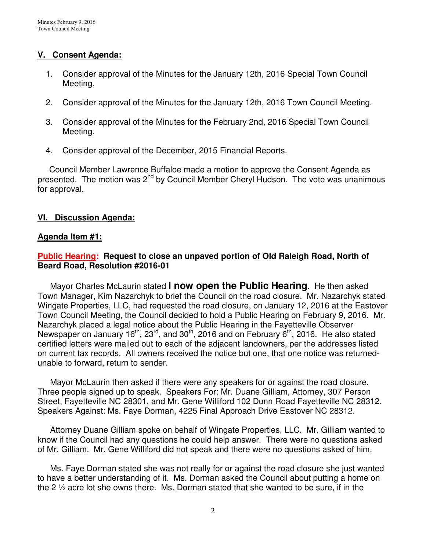# **V. Consent Agenda:**

- 1. Consider approval of the Minutes for the January 12th, 2016 Special Town Council Meeting.
- 2. Consider approval of the Minutes for the January 12th, 2016 Town Council Meeting.
- 3. Consider approval of the Minutes for the February 2nd, 2016 Special Town Council Meeting.
- 4. Consider approval of the December, 2015 Financial Reports.

 Council Member Lawrence Buffaloe made a motion to approve the Consent Agenda as presented. The motion was 2<sup>nd</sup> by Council Member Cheryl Hudson. The vote was unanimous for approval.

# **VI. Discussion Agenda:**

# **Agenda Item #1:**

# **Public Hearing: Request to close an unpaved portion of Old Raleigh Road, North of Beard Road, Resolution #2016-01**

 Mayor Charles McLaurin stated **I now open the Public Hearing**. He then asked Town Manager, Kim Nazarchyk to brief the Council on the road closure. Mr. Nazarchyk stated Wingate Properties, LLC, had requested the road closure, on January 12, 2016 at the Eastover Town Council Meeting, the Council decided to hold a Public Hearing on February 9, 2016. Mr. Nazarchyk placed a legal notice about the Public Hearing in the Fayetteville Observer Newspaper on January 16<sup>th</sup>, 23<sup>rd</sup>, and 30<sup>th</sup>, 2016 and on February 6<sup>th</sup>, 2016. He also stated certified letters were mailed out to each of the adjacent landowners, per the addresses listed on current tax records. All owners received the notice but one, that one notice was returnedunable to forward, return to sender.

 Mayor McLaurin then asked if there were any speakers for or against the road closure. Three people signed up to speak. Speakers For: Mr. Duane Gilliam, Attorney, 307 Person Street, Fayetteville NC 28301, and Mr. Gene Williford 102 Dunn Road Fayetteville NC 28312. Speakers Against: Ms. Faye Dorman, 4225 Final Approach Drive Eastover NC 28312.

 Attorney Duane Gilliam spoke on behalf of Wingate Properties, LLC. Mr. Gilliam wanted to know if the Council had any questions he could help answer. There were no questions asked of Mr. Gilliam. Mr. Gene Williford did not speak and there were no questions asked of him.

 Ms. Faye Dorman stated she was not really for or against the road closure she just wanted to have a better understanding of it. Ms. Dorman asked the Council about putting a home on the 2  $\frac{1}{2}$  acre lot she owns there. Ms. Dorman stated that she wanted to be sure, if in the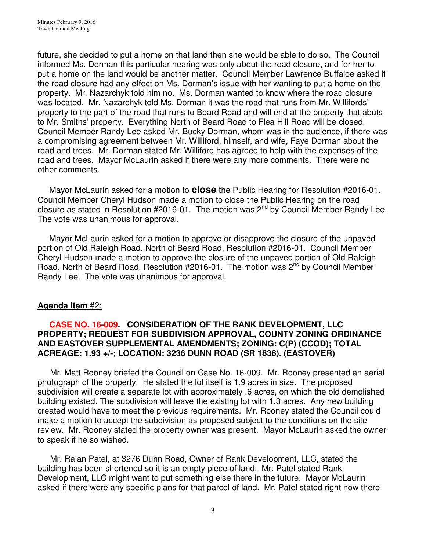future, she decided to put a home on that land then she would be able to do so. The Council informed Ms. Dorman this particular hearing was only about the road closure, and for her to put a home on the land would be another matter. Council Member Lawrence Buffaloe asked if the road closure had any effect on Ms. Dorman's issue with her wanting to put a home on the property. Mr. Nazarchyk told him no. Ms. Dorman wanted to know where the road closure was located. Mr. Nazarchyk told Ms. Dorman it was the road that runs from Mr. Willifords' property to the part of the road that runs to Beard Road and will end at the property that abuts to Mr. Smiths' property. Everything North of Beard Road to Flea Hill Road will be closed. Council Member Randy Lee asked Mr. Bucky Dorman, whom was in the audience, if there was a compromising agreement between Mr. Williford, himself, and wife, Faye Dorman about the road and trees. Mr. Dorman stated Mr. Williford has agreed to help with the expenses of the road and trees. Mayor McLaurin asked if there were any more comments. There were no other comments.

 Mayor McLaurin asked for a motion to **close** the Public Hearing for Resolution #2016-01. Council Member Cheryl Hudson made a motion to close the Public Hearing on the road closure as stated in Resolution  $#2016-01$ . The motion was  $2<sup>nd</sup>$  by Council Member Randy Lee. The vote was unanimous for approval.

 Mayor McLaurin asked for a motion to approve or disapprove the closure of the unpaved portion of Old Raleigh Road, North of Beard Road, Resolution #2016-01. Council Member Cheryl Hudson made a motion to approve the closure of the unpaved portion of Old Raleigh Road, North of Beard Road, Resolution #2016-01. The motion was 2<sup>nd</sup> by Council Member Randy Lee. The vote was unanimous for approval.

# **Agenda Item** #2:

### **CASE NO. 16-009. CONSIDERATION OF THE RANK DEVELOPMENT, LLC PROPERTY; REQUEST FOR SUBDIVISION APPROVAL, COUNTY ZONING ORDINANCE AND EASTOVER SUPPLEMENTAL AMENDMENTS; ZONING: C(P) (CCOD); TOTAL ACREAGE: 1.93 +/-; LOCATION: 3236 DUNN ROAD (SR 1838). (EASTOVER)**

 Mr. Matt Rooney briefed the Council on Case No. 16-009. Mr. Rooney presented an aerial photograph of the property. He stated the lot itself is 1.9 acres in size. The proposed subdivision will create a separate lot with approximately .6 acres, on which the old demolished building existed. The subdivision will leave the existing lot with 1.3 acres. Any new building created would have to meet the previous requirements. Mr. Rooney stated the Council could make a motion to accept the subdivision as proposed subject to the conditions on the site review. Mr. Rooney stated the property owner was present. Mayor McLaurin asked the owner to speak if he so wished.

 Mr. Rajan Patel, at 3276 Dunn Road, Owner of Rank Development, LLC, stated the building has been shortened so it is an empty piece of land. Mr. Patel stated Rank Development, LLC might want to put something else there in the future. Mayor McLaurin asked if there were any specific plans for that parcel of land. Mr. Patel stated right now there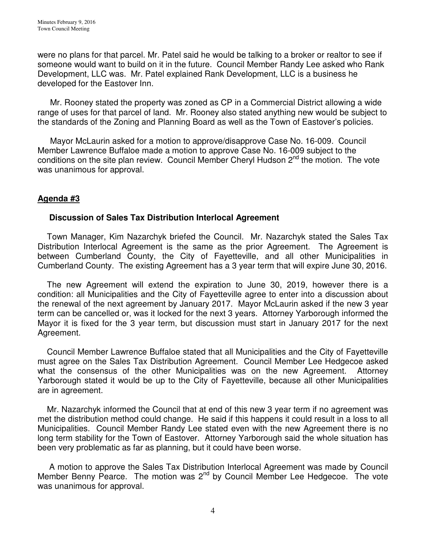were no plans for that parcel. Mr. Patel said he would be talking to a broker or realtor to see if someone would want to build on it in the future. Council Member Randy Lee asked who Rank Development, LLC was. Mr. Patel explained Rank Development, LLC is a business he developed for the Eastover Inn.

 Mr. Rooney stated the property was zoned as CP in a Commercial District allowing a wide range of uses for that parcel of land. Mr. Rooney also stated anything new would be subject to the standards of the Zoning and Planning Board as well as the Town of Eastover's policies.

 Mayor McLaurin asked for a motion to approve/disapprove Case No. 16-009. Council Member Lawrence Buffaloe made a motion to approve Case No. 16-009 subject to the conditions on the site plan review. Council Member Cheryl Hudson  $2^{nd}$  the motion. The vote was unanimous for approval.

# **Agenda #3**

# **Discussion of Sales Tax Distribution Interlocal Agreement**

 Town Manager, Kim Nazarchyk briefed the Council. Mr. Nazarchyk stated the Sales Tax Distribution Interlocal Agreement is the same as the prior Agreement. The Agreement is between Cumberland County, the City of Fayetteville, and all other Municipalities in Cumberland County. The existing Agreement has a 3 year term that will expire June 30, 2016.

 The new Agreement will extend the expiration to June 30, 2019, however there is a condition: all Municipalities and the City of Fayetteville agree to enter into a discussion about the renewal of the next agreement by January 2017. Mayor McLaurin asked if the new 3 year term can be cancelled or, was it locked for the next 3 years. Attorney Yarborough informed the Mayor it is fixed for the 3 year term, but discussion must start in January 2017 for the next Agreement.

 Council Member Lawrence Buffaloe stated that all Municipalities and the City of Fayetteville must agree on the Sales Tax Distribution Agreement. Council Member Lee Hedgecoe asked what the consensus of the other Municipalities was on the new Agreement. Attorney Yarborough stated it would be up to the City of Fayetteville, because all other Municipalities are in agreement.

 Mr. Nazarchyk informed the Council that at end of this new 3 year term if no agreement was met the distribution method could change. He said if this happens it could result in a loss to all Municipalities. Council Member Randy Lee stated even with the new Agreement there is no long term stability for the Town of Eastover. Attorney Yarborough said the whole situation has been very problematic as far as planning, but it could have been worse.

 A motion to approve the Sales Tax Distribution Interlocal Agreement was made by Council Member Benny Pearce. The motion was 2<sup>nd</sup> by Council Member Lee Hedgecoe. The vote was unanimous for approval.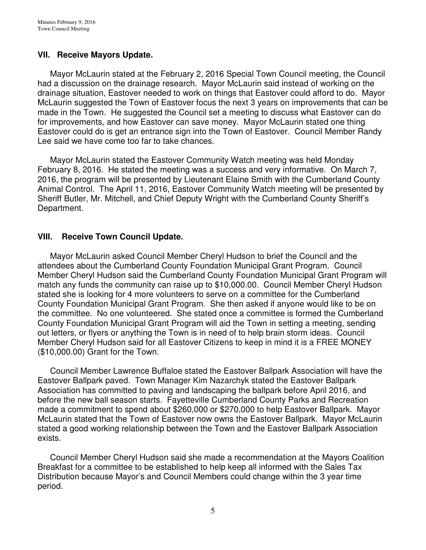# **VII. Receive Mayors Update.**

 Mayor McLaurin stated at the February 2, 2016 Special Town Council meeting, the Council had a discussion on the drainage research. Mayor McLaurin said instead of working on the drainage situation, Eastover needed to work on things that Eastover could afford to do. Mayor McLaurin suggested the Town of Eastover focus the next 3 years on improvements that can be made in the Town. He suggested the Council set a meeting to discuss what Eastover can do for improvements, and how Eastover can save money. Mayor McLaurin stated one thing Eastover could do is get an entrance sign into the Town of Eastover. Council Member Randy Lee said we have come too far to take chances.

 Mayor McLaurin stated the Eastover Community Watch meeting was held Monday February 8, 2016. He stated the meeting was a success and very informative. On March 7, 2016, the program will be presented by Lieutenant Elaine Smith with the Cumberland County Animal Control. The April 11, 2016, Eastover Community Watch meeting will be presented by Sheriff Butler, Mr. Mitchell, and Chief Deputy Wright with the Cumberland County Sheriff's Department.

# **VIII. Receive Town Council Update.**

 Mayor McLaurin asked Council Member Cheryl Hudson to brief the Council and the attendees about the Cumberland County Foundation Municipal Grant Program. Council Member Cheryl Hudson said the Cumberland County Foundation Municipal Grant Program will match any funds the community can raise up to \$10,000.00. Council Member Cheryl Hudson stated she is looking for 4 more volunteers to serve on a committee for the Cumberland County Foundation Municipal Grant Program. She then asked if anyone would like to be on the committee. No one volunteered. She stated once a committee is formed the Cumberland County Foundation Municipal Grant Program will aid the Town in setting a meeting, sending out letters, or flyers or anything the Town is in need of to help brain storm ideas. Council Member Cheryl Hudson said for all Eastover Citizens to keep in mind it is a FREE MONEY (\$10,000.00) Grant for the Town.

 Council Member Lawrence Buffaloe stated the Eastover Ballpark Association will have the Eastover Ballpark paved. Town Manager Kim Nazarchyk stated the Eastover Ballpark Association has committed to paving and landscaping the ballpark before April 2016, and before the new ball season starts. Fayetteville Cumberland County Parks and Recreation made a commitment to spend about \$260,000 or \$270,000 to help Eastover Ballpark. Mayor McLaurin stated that the Town of Eastover now owns the Eastover Ballpark. Mayor McLaurin stated a good working relationship between the Town and the Eastover Ballpark Association exists.

 Council Member Cheryl Hudson said she made a recommendation at the Mayors Coalition Breakfast for a committee to be established to help keep all informed with the Sales Tax Distribution because Mayor's and Council Members could change within the 3 year time period.